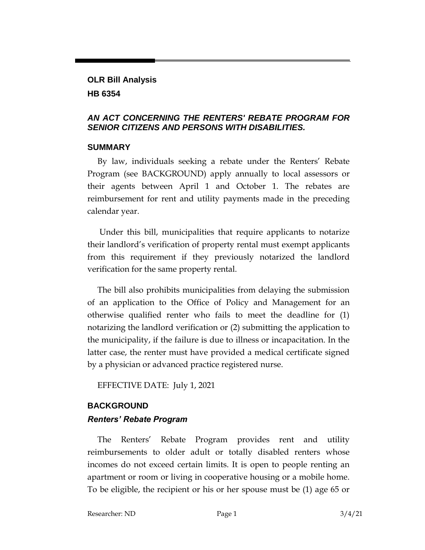## **OLR Bill Analysis HB 6354**

### *AN ACT CONCERNING THE RENTERS' REBATE PROGRAM FOR SENIOR CITIZENS AND PERSONS WITH DISABILITIES.*

### **SUMMARY**

By law, individuals seeking a rebate under the Renters' Rebate Program (see BACKGROUND) apply annually to local assessors or their agents between April 1 and October 1. The rebates are reimbursement for rent and utility payments made in the preceding calendar year.

Under this bill, municipalities that require applicants to notarize their landlord's verification of property rental must exempt applicants from this requirement if they previously notarized the landlord verification for the same property rental.

The bill also prohibits municipalities from delaying the submission of an application to the Office of Policy and Management for an otherwise qualified renter who fails to meet the deadline for (1) notarizing the landlord verification or (2) submitting the application to the municipality, if the failure is due to illness or incapacitation. In the latter case, the renter must have provided a medical certificate signed by a physician or advanced practice registered nurse.

EFFECTIVE DATE: July 1, 2021

# **BACKGROUND**

## *Renters' Rebate Program*

The Renters' Rebate Program provides rent and utility reimbursements to older adult or totally disabled renters whose incomes do not exceed certain limits. It is open to people renting an apartment or room or living in cooperative housing or a mobile home. To be eligible, the recipient or his or her spouse must be (1) age 65 or